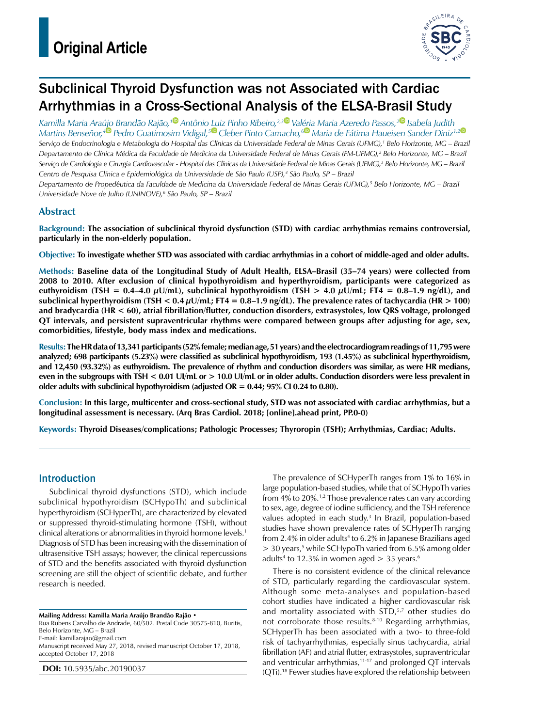

# Subclinical Thyroid Dysfunction was not Associated with Cardiac Arrhythmias in a Cross-Sectional Analysis of the ELSA-Brasil Study

*Kamilla Maria Araújo Brandão Rajão,[1 A](https://orcid.org/0000-0003-3463-0951)ntônio Luiz Pinho Ribeiro,2,[3](https://orcid.org/0000-0002-2740-0042) Valéria Maria Azeredo Passos,[2](https://orcid.org/0000-0003-2829-5798) Isabela Judith Martins Benseñor,[4 P](https://orcid.org/0000-0002-6723-5678)edro Guatimosim Vidigal,[5 C](https://orcid.org/0000-0001-8035-1350)leber Pinto Camacho,[6](https://orcid.org/0000-0002-8653-0031) Maria de Fátima Haueisen Sander Diniz1,[2](https://orcid.org/0000-0001-9146-5003) Serviço de Endocrinologia e Metabologia do Hospital das Clínicas da Universidade Federal de Minas Gerais (UFMG),1 Belo Horizonte, MG – Brazil* Departamento de Clínica Médica da Faculdade de Medicina da Universidade Federal de Minas Gerais (FM-UFMG),<sup>2</sup> Belo Horizonte, MG – Brazil Serviço de Cardiologia e Cirurgia Cardiovascular - Hospital das Clínicas da Universidade Federal de Minas Gerais (UFMG),<sup>3</sup> Belo Horizonte, MG – Brazil *Centro de Pesquisa Clínica e Epidemiológica da Universidade de São Paulo (USP),4 São Paulo, SP – Brazil* Departamento de Propedêutica da Faculdade de Medicina da Universidade Federal de Minas Gerais (UFMG),<sup>5</sup> Belo Horizonte, MG – Brazil *Universidade Nove de Julho (UNINOVE),6 São Paulo, SP – Brazil*

## **Abstract**

**Background: The association of subclinical thyroid dysfunction (STD) with cardiac arrhythmias remains controversial, particularly in the non-elderly population.**

**Objective: To investigate whether STD was associated with cardiac arrhythmias in a cohort of middle-aged and older adults.**

**Methods: Baseline data of the Longitudinal Study of Adult Health, ELSA–Brasil (35–74 years) were collected from 2008 to 2010. After exclusion of clinical hypothyroidism and hyperthyroidism, participants were categorized as**  euthyroidism (TSH =  $0.4-4.0 \mu U/mL$ ), subclinical hypothyroidism (TSH >  $4.0 \mu U/mL$ ; FT4 =  $0.8-1.9 \text{ ng/dL}$ ), and **subclinical hyperthyroidism (TSH < 0.4 µU/mL; FT4 = 0.8–1.9 ng/dL). The prevalence rates of tachycardia (HR > 100) and bradycardia (HR < 60), atrial fibrillation/flutter, conduction disorders, extrasystoles, low QRS voltage, prolonged QT intervals, and persistent supraventricular rhythms were compared between groups after adjusting for age, sex, comorbidities, lifestyle, body mass index and medications.**

**Results: The HR data of 13,341 participants (52% female; median age, 51 years) and the electrocardiogram readings of 11,795 were analyzed; 698 participants (5.23%) were classified as subclinical hypothyroidism, 193 (1.45%) as subclinical hyperthyroidism, and 12,450 (93.32%) as euthyroidism. The prevalence of rhythm and conduction disorders was similar, as were HR medians, even in the subgroups with TSH < 0.01 UI/mL or > 10.0 UI/mL or in older adults. Conduction disorders were less prevalent in older adults with subclinical hypothyroidism (adjusted OR = 0.44; 95% CI 0.24 to 0.80).**

**Conclusion: In this large, multicenter and cross-sectional study, STD was not associated with cardiac arrhythmias, but a longitudinal assessment is necessary. (Arq Bras Cardiol. 2018; [online].ahead print, PP.0-0)**

**Keywords: Thyroid Diseases/complications; Pathologic Processes; Thyroropin (TSH); Arrhythmias, Cardiac; Adults.**

### Introduction

Subclinical thyroid dysfunctions (STD), which include subclinical hypothyroidism (SCHypoTh) and subclinical hyperthyroidism (SCHyperTh), are characterized by elevated or suppressed thyroid-stimulating hormone (TSH), without clinical alterations or abnormalities in thyroid hormone levels.1 Diagnosis of STD has been increasing with the dissemination of ultrasensitive TSH assays; however, the clinical repercussions of STD and the benefits associated with thyroid dysfunction screening are still the object of scientific debate, and further research is needed.

**Mailing Address: Kamilla Maria Araújo Brandão Rajão •**

Rua Rubens Carvalho de Andrade, 60/502. Postal Code 30575-810, Buritis, Belo Horizonte, MG – Brazil E-mail: kamillarajao@gmail.com Manuscript received May 27, 2018, revised manuscript October 17, 2018,

accepted October 17, 2018

**DOI:** 10.5935/abc.20190037

The prevalence of SCHyperTh ranges from 1% to 16% in large population-based studies, while that of SCHypoTh varies from 4% to 20%.<sup>1,2</sup> Those prevalence rates can vary according to sex, age, degree of iodine sufficiency, and the TSH reference values adopted in each study.<sup>3</sup> In Brazil, population-based studies have shown prevalence rates of SCHyperTh ranging from 2.4% in older adults<sup>4</sup> to 6.2% in Japanese Brazilians aged > 30 years,<sup>5</sup> while SCHypoTh varied from 6.5% among older adults<sup>4</sup> to 12.3% in women aged  $>$  35 years.<sup>6</sup>

There is no consistent evidence of the clinical relevance of STD, particularly regarding the cardiovascular system. Although some meta-analyses and population-based cohort studies have indicated a higher cardiovascular risk and mortality associated with STD,<sup>5,7</sup> other studies do not corroborate those results.8-10 Regarding arrhythmias, SCHyperTh has been associated with a two- to three-fold risk of tachyarrhythmias, especially sinus tachycardia, atrial fibrillation (AF) and atrial flutter, extrasystoles, supraventricular and ventricular arrhythmias,<sup>11-17</sup> and prolonged QT intervals (QTi).18 Fewer studies have explored the relationship between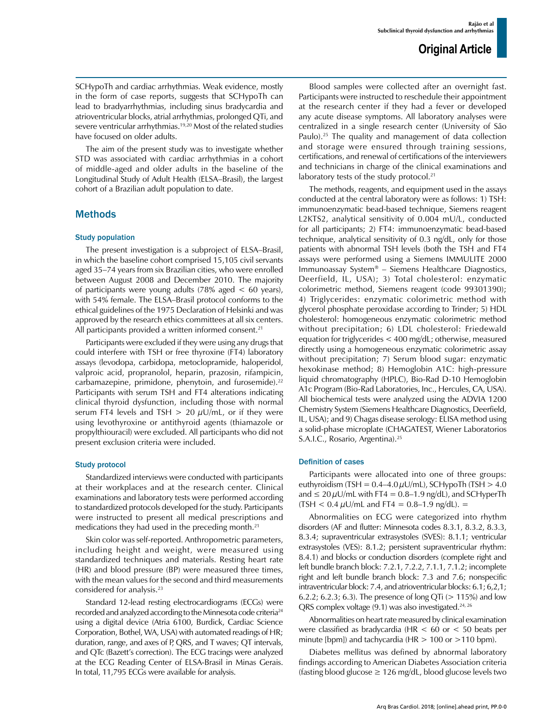SCHypoTh and cardiac arrhythmias. Weak evidence, mostly in the form of case reports, suggests that SCHypoTh can lead to bradyarrhythmias, including sinus bradycardia and atrioventricular blocks, atrial arrhythmias, prolonged QTi, and severe ventricular arrhythmias.19,20 Most of the related studies have focused on older adults.

The aim of the present study was to investigate whether STD was associated with cardiac arrhythmias in a cohort of middle-aged and older adults in the baseline of the Longitudinal Study of Adult Health (ELSA–Brasil), the largest cohort of a Brazilian adult population to date.

### Methods

#### Study population

The present investigation is a subproject of ELSA–Brasil, in which the baseline cohort comprised 15,105 civil servants aged 35–74 years from six Brazilian cities, who were enrolled between August 2008 and December 2010. The majority of participants were young adults (78% aged < 60 years), with 54% female. The ELSA–Brasil protocol conforms to the ethical guidelines of the 1975 Declaration of Helsinki and was approved by the research ethics committees at all six centers. All participants provided a written informed consent.<sup>21</sup>

Participants were excluded if they were using any drugs that could interfere with TSH or free thyroxine (FT4) laboratory assays (levodopa, carbidopa, metoclopramide, haloperidol, valproic acid, propranolol, heparin, prazosin, rifampicin, carbamazepine, primidone, phenytoin, and furosemide).<sup>22</sup> Participants with serum TSH and FT4 alterations indicating clinical thyroid dysfunction, including those with normal serum FT4 levels and TSH  $> 20 \mu U/mL$ , or if they were using levothyroxine or antithyroid agents (thiamazole or propylthiouracil) were excluded. All participants who did not present exclusion criteria were included.

#### Study protocol

Standardized interviews were conducted with participants at their workplaces and at the research center. Clinical examinations and laboratory tests were performed according to standardized protocols developed for the study. Participants were instructed to present all medical prescriptions and medications they had used in the preceding month.21

Skin color was self-reported. Anthropometric parameters, including height and weight, were measured using standardized techniques and materials. Resting heart rate (HR) and blood pressure (BP) were measured three times, with the mean values for the second and third measurements considered for analysis.<sup>23</sup>

Standard 12-lead resting electrocardiograms (ECGs) were recorded and analyzed according to the Minnesota code criteria24 using a digital device (Atria 6100, Burdick, Cardiac Science Corporation, Bothel, WA, USA) with automated readings of HR; duration, range, and axes of P, QRS, and T waves; QT intervals, and QTc (Bazett's correction). The ECG tracings were analyzed at the ECG Reading Center of ELSA-Brasil in Minas Gerais. In total, 11,795 ECGs were available for analysis.

Blood samples were collected after an overnight fast. Participants were instructed to reschedule their appointment at the research center if they had a fever or developed any acute disease symptoms. All laboratory analyses were centralized in a single research center (University of São Paulo).<sup>25</sup> The quality and management of data collection and storage were ensured through training sessions, certifications, and renewal of certifications of the interviewers and technicians in charge of the clinical examinations and laboratory tests of the study protocol.<sup>21</sup>

The methods, reagents, and equipment used in the assays conducted at the central laboratory were as follows: 1) TSH: immunoenzymatic bead-based technique, Siemens reagent L2KTS2, analytical sensitivity of 0.004 mU/L, conducted for all participants; 2) FT4: immunoenzymatic bead-based technique, analytical sensitivity of 0.3 ng/dL, only for those patients with abnormal TSH levels (both the TSH and FT4 assays were performed using a Siemens IMMULITE 2000 Immunoassay System® – Siemens Healthcare Diagnostics, Deerfield, IL, USA); 3) Total cholesterol: enzymatic colorimetric method, Siemens reagent (code 99301390); 4) Triglycerides: enzymatic colorimetric method with glycerol phosphate peroxidase according to Trinder; 5) HDL cholesterol: homogeneous enzymatic colorimetric method without precipitation; 6) LDL cholesterol: Friedewald equation for triglycerides < 400 mg/dL; otherwise, measured directly using a homogeneous enzymatic colorimetric assay without precipitation; 7) Serum blood sugar: enzymatic hexokinase method; 8) Hemoglobin A1C: high-pressure liquid chromatography (HPLC), Bio-Rad D-10 Hemoglobin A1c Program (Bio-Rad Laboratories, Inc., Hercules, CA, USA). All biochemical tests were analyzed using the ADVIA 1200 Chemistry System (Siemens Healthcare Diagnostics, Deerfield, IL, USA); and 9) Chagas disease serology: ELISA method using a solid-phase microplate (CHAGATEST, Wiener Laboratorios S.A.I.C., Rosario, Argentina).25

#### Definition of cases

Participants were allocated into one of three groups: euthyroidism (TSH =  $0.4-4.0 \mu U/mL$ ), SCHypoTh (TSH > 4.0 and  $\leq 20 \mu U/mL$  with FT4 = 0.8–1.9 ng/dL), and SCHyperTh  $(TSH < 0.4 \,\mu$ U/mL and FT4 = 0.8–1.9 ng/dL). =

Abnormalities on ECG were categorized into rhythm disorders (AF and flutter: Minnesota codes 8.3.1, 8.3.2, 8.3.3, 8.3.4; supraventricular extrasystoles (SVES): 8.1.1; ventricular extrasystoles (VES): 8.1.2; persistent supraventricular rhythm: 8.4.1) and blocks or conduction disorders (complete right and left bundle branch block: 7.2.1, 7.2.2, 7.1.1, 7.1.2; incomplete right and left bundle branch block: 7.3 and 7.6; nonspecific intraventricular block: 7.4, and atrioventricular blocks: 6.1; 6,2,1; 6.2.2; 6.2.3; 6.3). The presence of long QTi ( $> 115\%$ ) and low QRS complex voltage (9.1) was also investigated.<sup>24, 26</sup>

Abnormalities on heart rate measured by clinical examination were classified as bradycardia (HR < 60 or < 50 beats per minute [bpm]) and tachycardia (HR > 100 or >110 bpm).

Diabetes mellitus was defined by abnormal laboratory findings according to American Diabetes Association criteria (fasting blood glucose  $\geq 126$  mg/dL, blood glucose levels two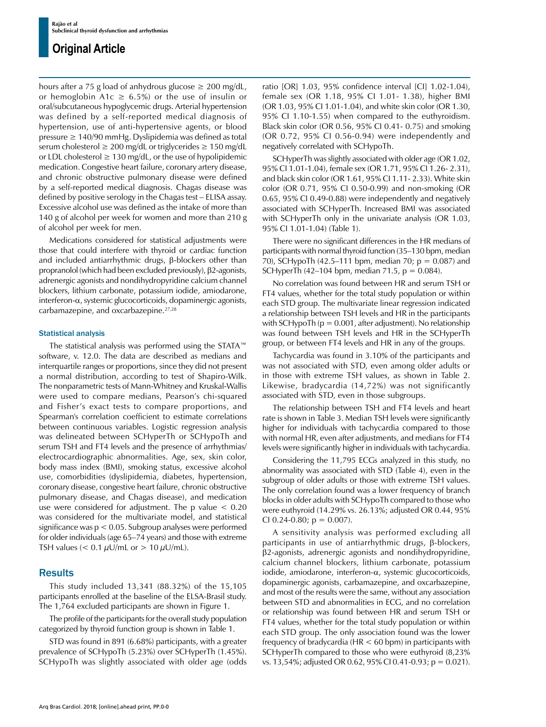hours after a 75 g load of anhydrous glucose  $\geq 200$  mg/dL, or hemoglobin A1c  $\geq$  6.5%) or the use of insulin or oral/subcutaneous hypoglycemic drugs. Arterial hypertension was defined by a self-reported medical diagnosis of hypertension, use of anti-hypertensive agents, or blood pressure ≥ 140/90 mmHg. Dyslipidemia was defined as total serum cholesterol  $\geq 200$  mg/dL or triglycerides  $\geq 150$  mg/dL or LDL cholesterol  $\geq 130$  mg/dL, or the use of hypolipidemic medication. Congestive heart failure, coronary artery disease, and chronic obstructive pulmonary disease were defined by a self-reported medical diagnosis. Chagas disease was defined by positive serology in the Chagas test – ELISA assay. Excessive alcohol use was defined as the intake of more than 140 g of alcohol per week for women and more than 210 g of alcohol per week for men.

Medications considered for statistical adjustments were those that could interfere with thyroid or cardiac function and included antiarrhythmic drugs, β-blockers other than propranolol (which had been excluded previously), β2-agonists, adrenergic agonists and nondihydropyridine calcium channel blockers, lithium carbonate, potassium iodide, amiodarone, interferon-α, systemic glucocorticoids, dopaminergic agonists, carbamazepine, and oxcarbazepine.27,28

#### Statistical analysis

The statistical analysis was performed using the STATA™ software, v. 12.0. The data are described as medians and interquartile ranges or proportions, since they did not present a normal distribution, according to test of Shapiro-Wilk. The nonparametric tests of Mann-Whitney and Kruskal-Wallis were used to compare medians, Pearson's chi-squared and Fisher's exact tests to compare proportions, and Spearman's correlation coefficient to estimate correlations between continuous variables. Logistic regression analysis was delineated between SCHyperTh or SCHypoTh and serum TSH and FT4 levels and the presence of arrhythmias/ electrocardiographic abnormalities. Age, sex, skin color, body mass index (BMI), smoking status, excessive alcohol use, comorbidities (dyslipidemia, diabetes, hypertension, coronary disease, congestive heart failure, chronic obstructive pulmonary disease, and Chagas disease), and medication use were considered for adjustment. The p value < 0.20 was considered for the multivariate model, and statistical significance was p < 0.05. Subgroup analyses were performed for older individuals (age 65–74 years) and those with extreme TSH values ( $< 0.1 \mu$ U/mL or  $> 10 \mu$ U/mL).

#### **Results**

This study included 13,341 (88.32%) of the 15,105 participants enrolled at the baseline of the ELSA-Brasil study. The 1,764 excluded participants are shown in Figure 1.

The profile of the participants for the overall study population categorized by thyroid function group is shown in Table 1.

STD was found in 891 (6.68%) participants, with a greater prevalence of SCHypoTh (5.23%) over SCHyperTh (1.45%). SCHypoTh was slightly associated with older age (odds ratio [OR] 1.03, 95% confidence interval [CI] 1.02-1.04), female sex (OR 1.18, 95% CI 1.01- 1.38), higher BMI (OR 1.03, 95% CI 1.01-1.04), and white skin color (OR 1.30, 95% CI 1.10-1.55) when compared to the euthyroidism. Black skin color (OR 0.56, 95% CI 0.41- 0.75) and smoking (OR 0.72, 95% CI 0.56-0.94) were independently and negatively correlated with SCHypoTh.

SCHyperTh was slightly associated with older age (OR 1.02, 95% CI 1.01-1.04), female sex (OR 1.71, 95% CI 1.26- 2.31), and black skin color (OR 1.61, 95% CI 1.11- 2.33). White skin color (OR 0.71, 95% CI 0.50-0.99) and non-smoking (OR 0.65, 95% CI 0.49-0.88) were independently and negatively associated with SCHyperTh. Increased BMI was associated with SCHyperTh only in the univariate analysis (OR 1.03, 95% CI 1.01-1.04) (Table 1).

There were no significant differences in the HR medians of participants with normal thyroid function (35–130 bpm, median 70), SCHypoTh  $(42.5-111$  bpm, median 70;  $p = 0.087$ ) and SCHyperTh (42–104 bpm, median 71.5,  $p = 0.084$ ).

No correlation was found between HR and serum TSH or FT4 values, whether for the total study population or within each STD group. The multivariate linear regression indicated a relationship between TSH levels and HR in the participants with SCHypoTh ( $p = 0.001$ , after adjustment). No relationship was found between TSH levels and HR in the SCHyperTh group, or between FT4 levels and HR in any of the groups.

Tachycardia was found in 3.10% of the participants and was not associated with STD, even among older adults or in those with extreme TSH values, as shown in Table 2. Likewise, bradycardia (14,72%) was not significantly associated with STD, even in those subgroups.

The relationship between TSH and FT4 levels and heart rate is shown in Table 3. Median TSH levels were significantly higher for individuals with tachycardia compared to those with normal HR, even after adjustments, and medians for FT4 levels were significantly higher in individuals with tachycardia.

Considering the 11,795 ECGs analyzed in this study, no abnormality was associated with STD (Table 4), even in the subgroup of older adults or those with extreme TSH values. The only correlation found was a lower frequency of branch blocks in older adults with SCHypoTh compared to those who were euthyroid (14.29% vs. 26.13%; adjusted OR 0.44, 95% CI 0.24-0.80;  $p = 0.007$ ).

A sensitivity analysis was performed excluding all participants in use of antiarrhythmic drugs, β-blockers, β2-agonists, adrenergic agonists and nondihydropyridine, calcium channel blockers, lithium carbonate, potassium iodide, amiodarone, interferon-α, systemic glucocorticoids, dopaminergic agonists, carbamazepine, and oxcarbazepine, and most of the results were the same, without any association between STD and abnormalities in ECG, and no correlation or relationship was found between HR and serum TSH or FT4 values, whether for the total study population or within each STD group. The only association found was the lower frequency of bradycardia (HR < 60 bpm) in participants with SCHyperTh compared to those who were euthyroid (8,23% vs. 13,54%; adjusted OR 0.62, 95% CI 0.41-0.93; p = 0.021).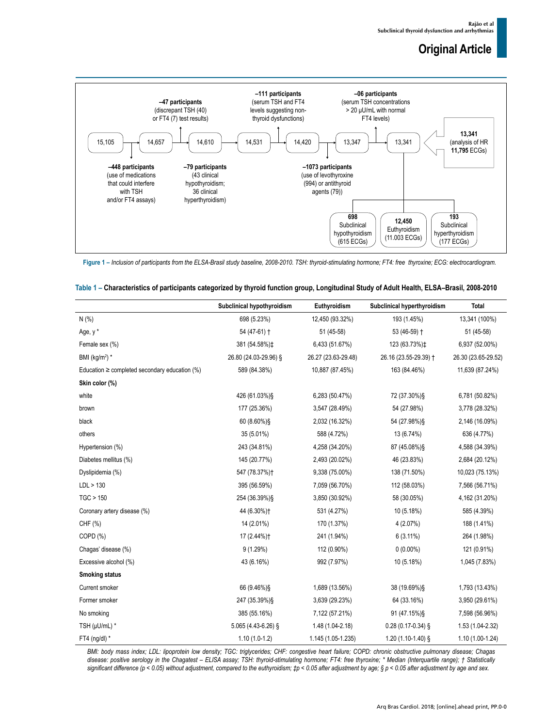

**Figure 1 –** *Inclusion of participants from the ELSA-Brasil study baseline, 2008-2010. TSH: thyroid-stimulating hormone; FT4: free thyroxine; ECG: electrocardiogram.*

|                                                    | Subclinical hypothyroidism | Euthyroidism        | Subclinical hyperthyroidism | <b>Total</b>        |
|----------------------------------------------------|----------------------------|---------------------|-----------------------------|---------------------|
| N(% )                                              | 698 (5.23%)                | 12,450 (93.32%)     | 193 (1.45%)                 | 13,341 (100%)       |
| Age, y*                                            | 54 (47-61) +               | 51 (45-58)          | 53 (46-59) +                | 51 (45-58)          |
| Female sex (%)                                     | 381 (54.58%) ±             | 6,433 (51.67%)      | 123 (63.73%) ±              | 6,937 (52.00%)      |
| BMI ( $kg/m2$ ) *                                  | 26.80 (24.03-29.96) §      | 26.27 (23.63-29.48) | 26.16 (23.55-29.39) +       | 26.30 (23.65-29.52) |
| Education $\geq$ completed secondary education (%) | 589 (84.38%)               | 10,887 (87.45%)     | 163 (84.46%)                | 11,639 (87.24%)     |
| Skin color (%)                                     |                            |                     |                             |                     |
| white                                              | 426 (61.03%)§              | 6,283 (50.47%)      | 72 (37.30%)§                | 6,781 (50.82%)      |
| brown                                              | 177 (25.36%)               | 3,547 (28.49%)      | 54 (27.98%)                 | 3,778 (28.32%)      |
| black                                              | 60 (8.60%)§                | 2,032 (16.32%)      | 54 (27.98%)§                | 2,146 (16.09%)      |
| others                                             | 35 (5.01%)                 | 588 (4.72%)         | 13 (6.74%)                  | 636 (4.77%)         |
| Hypertension (%)                                   | 243 (34.81%)               | 4,258 (34.20%)      | 87 (45.08%) §               | 4,588 (34.39%)      |
| Diabetes mellitus (%)                              | 145 (20.77%)               | 2,493 (20.02%)      | 46 (23.83%)                 | 2,684 (20.12%)      |
| Dyslipidemia (%)                                   | 547 (78.37%)+              | 9,338 (75.00%)      | 138 (71.50%)                | 10,023 (75.13%)     |
| LDL > 130                                          | 395 (56.59%)               | 7,059 (56.70%)      | 112 (58.03%)                | 7,566 (56.71%)      |
| TGC > 150                                          | 254 (36.39%)§              | 3,850 (30.92%)      | 58 (30.05%)                 | 4,162 (31.20%)      |
| Coronary artery disease (%)                        | 44 (6.30%) †               | 531 (4.27%)         | 10 (5.18%)                  | 585 (4.39%)         |
| CHF (%)                                            | 14 (2.01%)                 | 170 (1.37%)         | 4 (2.07%)                   | 188 (1.41%)         |
| COPD (%)                                           | 17 (2.44%) <sup>+</sup>    | 241 (1.94%)         | $6(3.11\%)$                 | 264 (1.98%)         |
| Chagas' disease (%)                                | 9(1.29%)                   | 112 (0.90%)         | $0(0.00\%)$                 | 121 (0.91%)         |
| Excessive alcohol (%)                              | 43 (6.16%)                 | 992 (7.97%)         | 10 (5.18%)                  | 1,045 (7.83%)       |
| <b>Smoking status</b>                              |                            |                     |                             |                     |

|  | Table 1 – Characteristics of participants categorized by thyroid function group, Longitudinal Study of Adult Health, ELSA–Brasil, 2008-2010 |  |  |  |  |
|--|---------------------------------------------------------------------------------------------------------------------------------------------|--|--|--|--|
|--|---------------------------------------------------------------------------------------------------------------------------------------------|--|--|--|--|

FT4 (ng/dl) \* 1.10 (1.0-1.2) 1.145 (1.05-1.235) 1.20 (1.10-1.40) § 1.10 (1.00-1.24) *BMI: body mass index; LDL: lipoprotein low density; TGC: triglycerides; CHF: congestive heart failure; COPD: chronic obstructive pulmonary disease; Chagas disease: positive serology in the Chagatest – ELISA assay; TSH: thyroid-stimulating hormone; FT4: free thyroxine; \* Median (Interquartile range); † Statistically significant difference (p < 0.05) without adjustment, compared to the euthyroidism; ‡p < 0.05 after adjustment by age; § p < 0.05 after adjustment by age and sex.*

Current smoker 66 (9.46%)§ 1,689 (13.56%) 38 (19.69%)§ 1,793 (13.43%) Former smoker 247 (35.39%)§ 3,639 (29.23%) 64 (33.16%) 3,950 (29.61%) No smoking 385 (55.16%) 385 (55.16%) 7,122 (57.21%) 91 (47.15%)§ 7,598 (56.96%) TSH (μU/mL) \* 5.065 (4.43-6.26) § 1.48 (1.04-2.18) 0.28 (0.17-0.34) § 1.53 (1.04-2.32)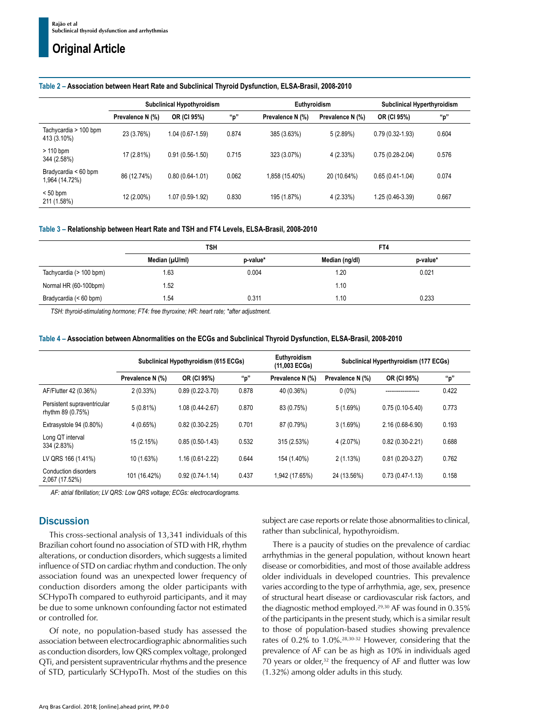## **Table 2 – Association between Heart Rate and Subclinical Thyroid Dysfunction, ELSA-Brasil, 2008-2010**

|                                        | <b>Subclinical Hypothyroidism</b> |                   |       |                  | Euthyroidism     |                     | Subclinical Hyperthyroidism |  |
|----------------------------------------|-----------------------------------|-------------------|-------|------------------|------------------|---------------------|-----------------------------|--|
|                                        | Prevalence N (%)                  | OR (CI 95%)       | "p"   | Prevalence N (%) | Prevalence N (%) | OR (CI 95%)         | "p"                         |  |
| Tachycardia > 100 bpm<br>413 (3.10%)   | 23 (3.76%)                        | 1.04 (0.67-1.59)  | 0.874 | 385 (3.63%)      | 5(2.89%)         | $0.79(0.32 - 1.93)$ | 0.604                       |  |
| $>110$ bpm<br>344 (2.58%)              | 17 (2.81%)                        | $0.91(0.56-1.50)$ | 0.715 | 323 (3.07%)      | 4(2.33%)         | $0.75(0.28-2.04)$   | 0.576                       |  |
| Bradycardia < 60 bpm<br>1,964 (14.72%) | 86 (12.74%)                       | $0.80(0.64-1.01)$ | 0.062 | 1,858 (15.40%)   | 20 (10.64%)      | $0.65(0.41-1.04)$   | 0.074                       |  |
| $< 50$ bpm<br>211 (1.58%)              | 12 (2.00%)                        | 1.07 (0.59-1.92)  | 0.830 | 195 (1.87%)      | 4(2.33%)         | .25 (0.46-3.39)     | 0.667                       |  |

#### **Table 3 – Relationship between Heart Rate and TSH and FT4 Levels, ELSA-Brasil, 2008-2010**

|                         | <b>TSH</b>     |          | FT4            |          |  |
|-------------------------|----------------|----------|----------------|----------|--|
|                         | Median (µU/ml) | p-value* | Median (ng/dl) | p-value* |  |
| Tachycardia (> 100 bpm) | 1.63           | 0.004    | 1.20           | 0.021    |  |
| Normal HR (60-100bpm)   | 1.52           |          | 1.10           |          |  |
| Bradycardia (< 60 bpm)  | 1.54           | 0.311    | 1.10           | 0.233    |  |

*TSH: thyroid-stimulating hormone; FT4: free thyroxine; HR: heart rate; \*after adjustment.*

| Table 4 – Association between Abnormalities on the ECGs and Subclinical Thyroid Dysfunction, ELSA-Brasil, 2008-2010 |  |  |  |  |
|---------------------------------------------------------------------------------------------------------------------|--|--|--|--|
|---------------------------------------------------------------------------------------------------------------------|--|--|--|--|

|                                                  | Subclinical Hypothyroidism (615 ECGs) |                     |       | Euthyroidism<br>(11,003 ECGs) | Subclinical Hyperthyroidism (177 ECGs) |                     |       |
|--------------------------------------------------|---------------------------------------|---------------------|-------|-------------------------------|----------------------------------------|---------------------|-------|
|                                                  | Prevalence N (%)                      | OR (CI 95%)         | "p"   | Prevalence N (%)              | Prevalence N (%)                       | OR (CI 95%)         | "p"   |
| AF/Flutter 42 (0.36%)                            | 2(0.33%)                              | $0.89(0.22 - 3.70)$ | 0.878 | 40 (0.36%)                    | $0(0\%)$                               | ________________    | 0.422 |
| Persistent supraventricular<br>rhythm 89 (0.75%) | 5(0.81%)                              | 1.08 (0.44-2.67)    | 0.870 | 83 (0.75%)                    | 5(1.69%)                               | $0.75(0.10-5.40)$   | 0.773 |
| Extrasystole 94 (0.80%)                          | 4(0.65%)                              | $0.82(0.30-2.25)$   | 0.701 | 87 (0.79%)                    | 3(1.69%)                               | 2.16 (0.68-6.90)    | 0.193 |
| Long QT interval<br>334 (2.83%)                  | 15 (2.15%)                            | $0.85(0.50-1.43)$   | 0.532 | 315 (2.53%)                   | 4(2.07%)                               | $0.82(0.30-2.21)$   | 0.688 |
| LV QRS 166 (1.41%)                               | 10 (1.63%)                            | 1.16 (0.61-2.22)    | 0.644 | 154 (1.40%)                   | 2(1.13%)                               | $0.81(0.20-3.27)$   | 0.762 |
| Conduction disorders<br>2,067 (17.52%)           | 101 (16.42%)                          | $0.92(0.74-1.14)$   | 0.437 | 1,942 (17.65%)                | 24 (13.56%)                            | $0.73(0.47 - 1.13)$ | 0.158 |

*AF: atrial fibrillation; LV QRS: Low QRS voltage; ECGs: electrocardiograms.*

### **Discussion**

This cross-sectional analysis of 13,341 individuals of this Brazilian cohort found no association of STD with HR, rhythm alterations, or conduction disorders, which suggests a limited influence of STD on cardiac rhythm and conduction. The only association found was an unexpected lower frequency of conduction disorders among the older participants with SCHypoTh compared to euthyroid participants, and it may be due to some unknown confounding factor not estimated or controlled for.

Of note, no population-based study has assessed the association between electrocardiographic abnormalities such as conduction disorders, low QRS complex voltage, prolonged QTi, and persistent supraventricular rhythms and the presence of STD, particularly SCHypoTh. Most of the studies on this subject are case reports or relate those abnormalities to clinical, rather than subclinical, hypothyroidism.

There is a paucity of studies on the prevalence of cardiac arrhythmias in the general population, without known heart disease or comorbidities, and most of those available address older individuals in developed countries. This prevalence varies according to the type of arrhythmia, age, sex, presence of structural heart disease or cardiovascular risk factors, and the diagnostic method employed.29,30 AF was found in 0.35% of the participants in the present study, which is a similar result to those of population-based studies showing prevalence rates of 0.2% to 1.0%.28,30-32 However, considering that the prevalence of AF can be as high as 10% in individuals aged 70 years or older, $32$  the frequency of AF and flutter was low (1.32%) among older adults in this study.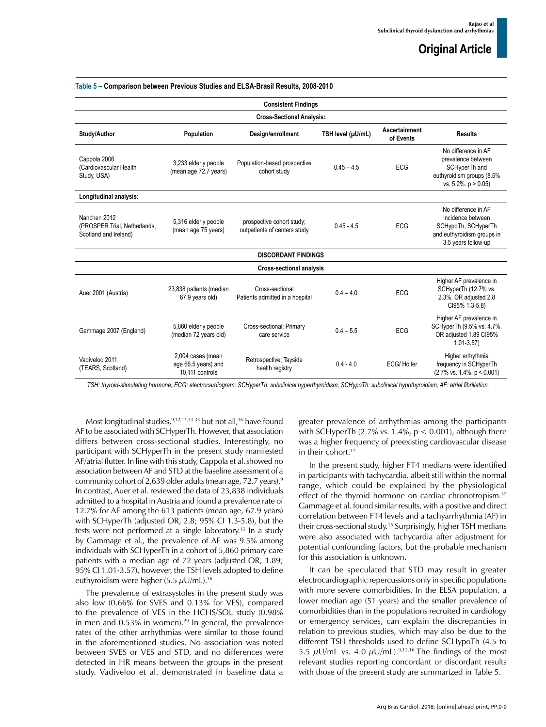| Table 5 – Comparison between Previous Studies and ELSA-Brasil Results, 2008-2010 |                                                             |                                                           |                   |                            |                                                                                                                       |  |  |  |
|----------------------------------------------------------------------------------|-------------------------------------------------------------|-----------------------------------------------------------|-------------------|----------------------------|-----------------------------------------------------------------------------------------------------------------------|--|--|--|
| <b>Consistent Findings</b>                                                       |                                                             |                                                           |                   |                            |                                                                                                                       |  |  |  |
|                                                                                  |                                                             | <b>Cross-Sectional Analysis:</b>                          |                   |                            |                                                                                                                       |  |  |  |
| Study/Author                                                                     | Population                                                  | Design/enrollment                                         | TSH level (µU/mL) | Ascertainment<br>of Events | <b>Results</b>                                                                                                        |  |  |  |
| Cappola 2006<br>(Cardiovascular Health<br>Study, USA)                            | 3,233 elderly people<br>(mean age 72.7 years)               | Population-based prospective<br>cohort study              | $0.45 - 4.5$      | ECG                        | No difference in AF<br>prevalence between<br>SCHyperTh and<br>euthyroidism groups (8.5%<br>vs. $5.2\%$ . $p > 0.05$ ) |  |  |  |
| Longitudinal analysis:                                                           |                                                             |                                                           |                   |                            |                                                                                                                       |  |  |  |
| Nanchen 2012<br>(PROSPER Trial, Netherlands,<br>Scotland and Ireland)            | 5,316 elderly people<br>(mean age 75 years)                 | prospective cohort study;<br>outpatients of centers study | $0.45 - 4.5$      | <b>ECG</b>                 | No difference in AF<br>incidence between<br>SCHypoTh, SCHyperTh<br>and euthyroidism groups in<br>3.5 years follow-up  |  |  |  |
|                                                                                  |                                                             | <b>DISCORDANT FINDINGS</b>                                |                   |                            |                                                                                                                       |  |  |  |
|                                                                                  |                                                             | <b>Cross-sectional analysis</b>                           |                   |                            |                                                                                                                       |  |  |  |
| Auer 2001 (Austria)                                                              | 23,838 patients (median<br>67.9 years old)                  | Cross-sectional<br>Patients admitted in a hospital        | $0.4 - 4.0$       | ECG                        | Higher AF prevalence in<br>SCHyperTh (12.7% vs.<br>2.3%. OR adjusted 2.8<br>CI95% 1.3-5.8)                            |  |  |  |
| Gammage 2007 (England)                                                           | 5,860 elderly people<br>(median 72 years old)               | Cross-sectional; Primary<br>care service                  | $0.4 - 5.5$       | ECG                        | Higher AF prevalence in<br>SCHyperTh (9.5% vs. 4.7%.<br>OR adjusted 1.89 Cl95%<br>$1.01 - 3.57$                       |  |  |  |
| Vadiveloo 2011<br>(TEARS, Scotland)                                              | 2,004 cases (mean<br>age 66.5 years) and<br>10,111 controls | Retrospective; Tayside<br>health registry                 | $0.4 - 4.0$       | ECG/Holter                 | Higher arrhythmia<br>frequency in SCHyperTh<br>$(2.7\% \text{ vs. } 1.4\% \text{ p} < 0.001)$                         |  |  |  |

*TSH: thyroid-stimulating hormone; ECG: electrocardiogram; SCHyperTh: subclinical hyperthyroidism; SCHypoTh: subclinical hypothyroidism; AF: atrial fibrillation.*

Most longitudinal studies, 9,12,17,33-35 but not all, 36 have found AF to be associated with SCHyperTh. However, that association differs between cross-sectional studies. Interestingly, no participant with SCHyperTh in the present study manifested AF/atrial flutter. In line with this study, Cappola et al. showed no association between AF and STD at the baseline assessment of a community cohort of 2,639 older adults (mean age, 72.7 years).<sup>9</sup> In contrast, Auer et al. reviewed the data of 23,838 individuals admitted to a hospital in Austria and found a prevalence rate of 12.7% for AF among the 613 patients (mean age, 67.9 years) with SCHyperTh (adjusted OR, 2.8; 95% CI 1.3-5.8), but the tests were not performed at a single laboratory.15 In a study by Gammage et al., the prevalence of AF was 9.5% among individuals with SCHyperTh in a cohort of 5,860 primary care patients with a median age of 72 years (adjusted OR, 1.89; 95% CI 1.01-3.57), however, the TSH levels adopted to define euthyroidism were higher (5.5  $\mu$ U/mL).<sup>16</sup>

The prevalence of extrasystoles in the present study was also low (0.66% for SVES and 0.13% for VES), compared to the prevalence of VES in the HCHS/SOL study (0.98% in men and  $0.53\%$  in women).<sup>29</sup> In general, the prevalence rates of the other arrhythmias were similar to those found in the aforementioned studies. No association was noted between SVES or VES and STD, and no differences were detected in HR means between the groups in the present study. Vadiveloo et al. demonstrated in baseline data a greater prevalence of arrhythmias among the participants with SCHyperTh (2.7% vs. 1.4%,  $p < 0.001$ ), although there was a higher frequency of preexisting cardiovascular disease in their cohort.<sup>17</sup>

In the present study, higher FT4 medians were identified in participants with tachycardia, albeit still within the normal range, which could be explained by the physiological effect of the thyroid hormone on cardiac chronotropism.<sup>37</sup> Gammage et al. found similar results, with a positive and direct correlation between FT4 levels and a tachyarrhythmia (AF) in their cross-sectional study.16 Surprisingly, higher TSH medians were also associated with tachycardia after adjustment for potential confounding factors, but the probable mechanism for this association is unknown.

It can be speculated that STD may result in greater electrocardiographic repercussions only in specific populations with more severe comorbidities. In the ELSA population, a lower median age (51 years) and the smaller prevalence of comorbidities than in the populations recruited in cardiology or emergency services, can explain the discrepancies in relation to previous studies, which may also be due to the different TSH thresholds used to define SCHypoTh (4.5 to 5.5  $\mu$ U/mL vs. 4.0  $\mu$ U/mL).<sup>9,12,16</sup> The findings of the most relevant studies reporting concordant or discordant results with those of the present study are summarized in Table 5.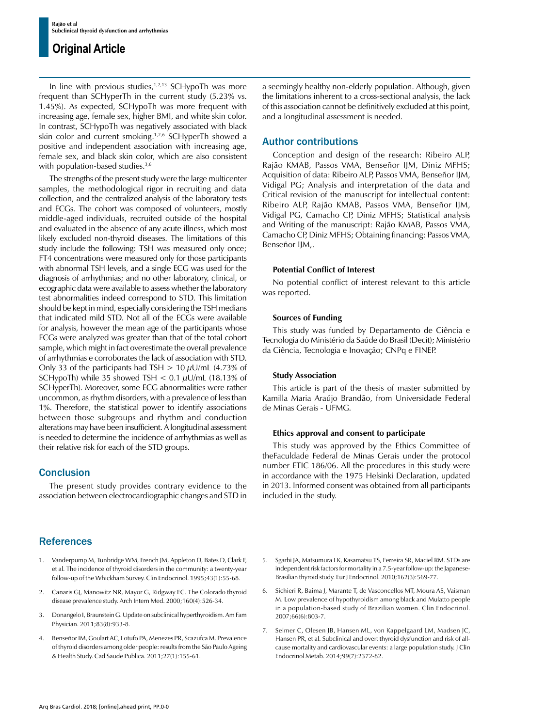In line with previous studies, $1,2,13$  SCHypoTh was more frequent than SCHyperTh in the current study (5.23% vs. 1.45%). As expected, SCHypoTh was more frequent with increasing age, female sex, higher BMI, and white skin color. In contrast, SCHypoTh was negatively associated with black skin color and current smoking.1,2,6 SCHyperTh showed a positive and independent association with increasing age, female sex, and black skin color, which are also consistent with population-based studies.<sup>3,6</sup>

The strengths of the present study were the large multicenter samples, the methodological rigor in recruiting and data collection, and the centralized analysis of the laboratory tests and ECGs. The cohort was composed of volunteers, mostly middle-aged individuals, recruited outside of the hospital and evaluated in the absence of any acute illness, which most likely excluded non-thyroid diseases. The limitations of this study include the following: TSH was measured only once; FT4 concentrations were measured only for those participants with abnormal TSH levels, and a single ECG was used for the diagnosis of arrhythmias; and no other laboratory, clinical, or ecographic data were available to assess whether the laboratory test abnormalities indeed correspond to STD. This limitation should be kept in mind, especially considering the TSH medians that indicated mild STD. Not all of the ECGs were available for analysis, however the mean age of the participants whose ECGs were analyzed was greater than that of the total cohort sample, which might in fact overestimate the overall prevalence of arrhythmias e corroborates the lack of association with STD. Only 33 of the participants had TSH  $> 10 \mu U/mL$  (4.73% of SCHypoTh) while 35 showed TSH  $<$  0.1  $\mu$ U/mL (18.13% of SCHyperTh). Moreover, some ECG abnormalities were rather uncommon, as rhythm disorders, with a prevalence of less than 1%. Therefore, the statistical power to identify associations between those subgroups and rhythm and conduction alterations may have been insufficient. A longitudinal assessment is needed to determine the incidence of arrhythmias as well as their relative risk for each of the STD groups.

### **Conclusion**

The present study provides contrary evidence to the association between electrocardiographic changes and STD in

## **References**

- 1. Vanderpump M, Tunbridge WM, French JM, Appleton D, Bates D, Clark F, et al. The incidence of thyroid disorders in the community: a twenty-year follow-up of the Whickham Survey. Clin Endocrinol. 1995;43(1):55-68.
- 2. Canaris GJ, Manowitz NR, Mayor G, Ridgway EC. The Colorado thyroid disease prevalence study. Arch Intern Med. 2000;160(4):526-34.
- 3. Donangelo I, Braunstein G. Update on subclinical hyperthyroidism. Am Fam Physician. 2011;83(8):933-8.
- 4. Benseñor IM, Goulart AC, Lotufo PA, Menezes PR, Scazufca M. Prevalence of thyroid disorders among older people: results from the São Paulo Ageing & Health Study. Cad Saude Publica. 2011;27(1):155-61.

a seemingly healthy non-elderly population. Although, given the limitations inherent to a cross-sectional analysis, the lack of this association cannot be definitively excluded at this point, and a longitudinal assessment is needed.

## Author contributions

Conception and design of the research: Ribeiro ALP, Rajão KMAB, Passos VMA, Benseñor IJM, Diniz MFHS; Acquisition of data: Ribeiro ALP, Passos VMA, Benseñor IJM, Vidigal PG; Analysis and interpretation of the data and Critical revision of the manuscript for intellectual content: Ribeiro ALP, Rajão KMAB, Passos VMA, Benseñor IJM, Vidigal PG, Camacho CP, Diniz MFHS; Statistical analysis and Writing of the manuscript: Rajão KMAB, Passos VMA, Camacho CP, Diniz MFHS; Obtaining financing: Passos VMA, Benseñor IJM,.

#### **Potential Conflict of Interest**

No potential conflict of interest relevant to this article was reported.

#### **Sources of Funding**

This study was funded by Departamento de Ciência e Tecnologia do Ministério da Saúde do Brasil (Decit); Ministério da Ciência, Tecnologia e Inovação; CNPq e FINEP.

#### **Study Association**

This article is part of the thesis of master submitted by Kamilla Maria Araújo Brandão, from Universidade Federal de Minas Gerais - UFMG.

#### **Ethics approval and consent to participate**

This study was approved by the Ethics Committee of theFaculdade Federal de Minas Gerais under the protocol number ETIC 186/06. All the procedures in this study were in accordance with the 1975 Helsinki Declaration, updated in 2013. Informed consent was obtained from all participants included in the study.

- 5. Sgarbi JA, Matsumura LK, Kasamatsu TS, Ferreira SR, Maciel RM. STDs are independent risk factors for mortality in a 7.5-year follow-up: the Japanese-Brasilian thyroid study. Eur J Endocrinol. 2010;162(3):569-77.
- 6. Sichieri R, Baima J, Marante T, de Vasconcellos MT, Moura AS, Vaisman M. Low prevalence of hypothyroidism among black and Mulatto people in a population-based study of Brazilian women. Clin Endocrinol. 2007;66(6):803-7.
- 7. Selmer C, Olesen JB, Hansen ML, von Kappelgaard LM, Madsen JC, Hansen PR, et al. Subclinical and overt thyroid dysfunction and risk of allcause mortality and cardiovascular events: a large population study. J Clin Endocrinol Metab. 2014;99(7):2372-82.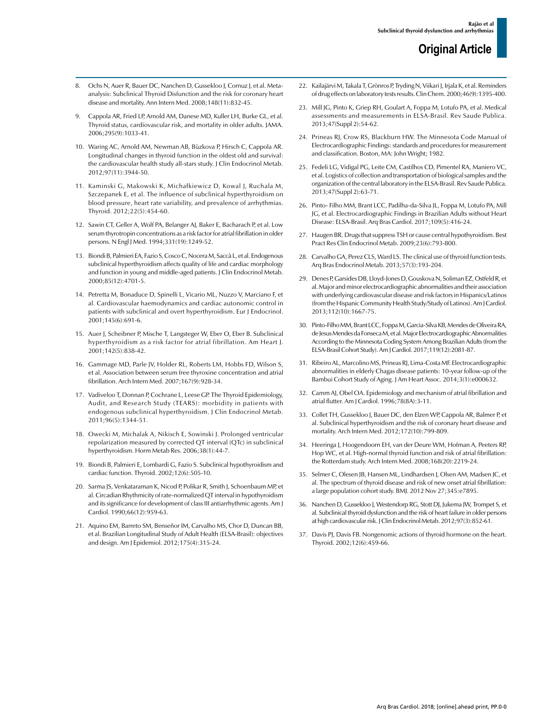- 8. Ochs N, Auer R, Bauer DC, Nanchen D, Gussekloo J, Cornuz J, et al. Metaanalysis: Subclinical Thyroid Disfunction and the risk for coronary heart disease and mortality. Ann Intern Med. 2008;148(11):832-45.
- 9. Cappola AR, Fried LP, Arnold AM, Danese MD, Kuller LH, Burke GL, et al. Thyroid status, cardiovascular risk, and mortality in older adults. JAMA. 2006;295(9):1033-41.
- 10. Waring AC, Arnold AM, Newman AB, Bùzkova P, Hirsch C, Cappola AR. Longitudinal changes in thyroid function in the oldest old and survival: the cardiovascular health study all-stars study. J Clin Endocrinol Metab. 2012;97(11):3944-50.
- 11. Kaminski G, Makowski K, Michałkiewicz D, Kowal J, Ruchala M, Szczepanek E, et al. The influence of subclinical hyperthyroidism on blood pressure, heart rate variability, and prevalence of arrhythmias. Thyroid. 2012;22(5):454-60.
- 12. Sawin CT, Geller A, Wolf PA, Belanger AJ, Baker E, Bacharach P, et al. Low serum thyrotropin concentrations as a risk factor for atrial fibrillation in older persons. N Engl J Med. 1994;331(19):1249-52.
- 13. Biondi B, Palmieri EA, Fazio S, Cosco C, Nocera M, Saccà L, et al. Endogenous subclinical hyperthyroidism affects quality of life and cardiac morphology and function in young and middle-aged patients. J Clin Endocrinol Metab. 2000;85(12):4701-5.
- 14. Petretta M, Bonaduce D, Spinelli L, Vicario ML, Nuzzo V, Marciano F, et al. Cardiovascular haemodynamics and cardiac autonomic control in patients with subclinical and overt hyperthyroidism. Eur J Endocrinol. 2001;145(6):691-6.
- 15. Auer J, Scheibner P, Mische T, Langsteger W, Eber O, Eber B. Subclinical hyperthyroidism as a risk factor for atrial fibrillation. Am Heart J. 2001;142(5):838-42.
- 16. Gammage MD, Parle JV, Holder RL, Roberts LM, Hobbs FD, Wilson S, et al. Association between serum free thyroxine concentration and atrial fibrillation. Arch Intern Med. 2007;167(9):928-34.
- 17. Vadiveloo T, Donnan P, Cochrane L, Leese GP. The Thyroid Epidemiology, Audit, and Research Study (TEARS): morbidity in patients with endogenous subclinical hyperthyroidism. J Clin Endocrinol Metab. 2011;96(5):1344-51.
- 18. Owecki M, Michalak A, Nikisch E, Sowinski J. Prolonged ventricular repolarization measured by corrected QT interval (QTc) in subclinical hyperthyroidism. Horm Metab Res. 2006;38(1):44-7.
- 19. Biondi B, Palmieri E, Lombardi G, Fazio S. Subclinical hypothyroidism and cardiac function. Thyroid. 2002;12(6):505-10.
- 20. Sarma JS, Venkataraman K, Nicod P, Polikar R, Smith J, Schoenbaum MP, et al. Circadian Rhythmicity of rate-normalized QT interval in hypothyroidism and its significance for development of class III antiarrhythmic agents. Am J Cardiol. 1990;66(12):959-63.
- 21. Aquino EM, Barreto SM, Benseñor IM, Carvalho MS, Chor D, Duncan BB, et al. Brazilian Longitudinal Study of Adult Health (ELSA-Brasil): objectives and design. Am J Epidemiol. 2012;175(4):315-24.
- 22. Kailajärvi M, Takala T, Grönros P, Tryding N, Viikari J, Irjala K, et al. Reminders of drug effects on laboratory tests results. Clin Chem. 2000;46(9):1395-400.
- 23. Mill JG, Pinto K, Griep RH, Goulart A, Foppa M, Lotufo PA, et al. Medical assessments and measurements in ELSA-Brasil. Rev Saude Publica. 2013;47(Suppl 2):54-62.
- 24. Prineas RJ, Crow RS, Blackburn HW. The Minnesota Code Manual of Electrocardiographic Findings: standards and procedures for measurement and classification. Boston, MA: John Wright; 1982.
- 25. Fedeli LG, Vidigal PG, Leite CM, Castilhos CD, Pimentel RA, Maniero VC, et al. Logistics of collection and transportation of biological samples and the organization of the central laboratory in the ELSA-Brasil. Rev Saude Publica. 2013;47(Suppl 2):63-71.
- 26. Pinto- Filho MM, Brant LCC, Padilha-da-Silva JL, Foppa M, Lotufo PA, Mill JG, et al. Electrocardiographic Findings in Brazilian Adults without Heart Disease: ELSA-Brasil. Arq Bras Cardiol. 2017;109(5):416-24.
- 27. Haugen BR. Drugs that suppress TSH or cause central hypothyroidism. Best Pract Res Clin Endocrinol Metab. 2009;23(6):793-800.
- 28. Carvalho GA, Perez CLS, Ward LS. The clinical use of thyroid function tests. Arq Bras Endocrinol Metab. 2013;57(3):193-204.
- 29. Denes P, Garsides DB, Lloyd-Jones D, Gouskova N, Soliman EZ, Ostfeld R, et al. Major and minor electrocardiographic abnormalities and their association with underlying cardiovascular disease and risk factors in Hispanics/Latinos (from the Hispanic Community Health Study/Study of Latinos). Am J Cardiol. 2013;112(10):1667-75.
- 30. Pinto-Filho MM, Brant LCC, Foppa M, Garcia-Silva KB, Mendes de Oliveira RA, de Jesus Mendes da Fonseca M, et al. Major Electrocardiographic Abnormalities According to the Minnesota Coding System Among Brazilian Adults (from the ELSA-Brasil Cohort Study). Am J Cardiol. 2017;119(12):2081-87.
- 31. Ribeiro AL, Marcolino MS, Prineas RJ, Lima-Costa MF. Electrocardiographic abnormalities in elderly Chagas disease patients: 10-year follow-up of the Bambui Cohort Study of Aging. J Am Heart Assoc. 2014;3(1):e000632.
- 32. Camm AJ, Obel OA. Epidemiology and mechanism of atrial fibrillation and atrial flutter. Am J Cardiol. 1996;78(8A):3-11.
- 33. Collet TH, Gussekloo J, Bauer DC, den Elzen WP, Cappola AR, Balmer P, et al. Subclinical hyperthyroidism and the risk of coronary heart disease and mortality. Arch Intern Med. 2012;172(10):799-809.
- 34. Heeringa J, Hoogendoorn EH, van der Deure WM, Hofman A, Peeters RP, Hop WC, et al. High-normal thyroid function and risk of atrial fibrillation: the Rotterdam study. Arch Intern Med. 2008;168(20):2219-24.
- 35. Selmer C, Olesen JB, Hansen ML, Lindhardsen J, Olsen AM, Madsen JC, et al. The spectrum of thyroid disease and risk of new onset atrial fibrillation: a large population cohort study. BMJ. 2012 Nov 27;345:e7895.
- 36. Nanchen D, Gussekloo J, Westendorp RG, Stott DJ, Jukema JW, Trompet S, et al. Subclinical thyroid dysfunction and the risk of heart failure in older persons at high cardiovascular risk. J Clin Endocrinol Metab. 2012;97(3):852-61.
- 37. Davis PJ, Davis FB. Nongenomic actions of thyroid hormone on the heart. Thyroid. 2002;12(6):459-66.